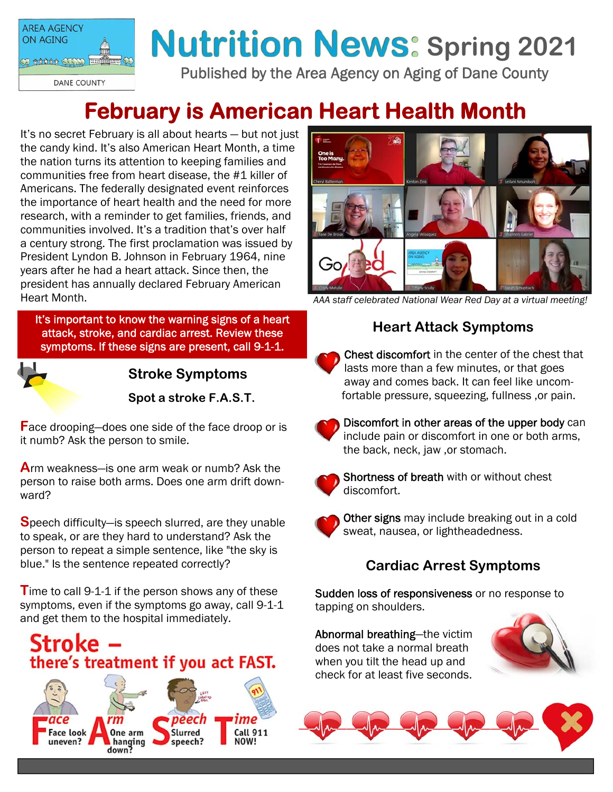

# **Nutrition News: Spring 2021**

Published by the Area Agency on Aging of Dane County

# **February is American Heart Health Month**

It's no secret February is all about hearts — but not just the candy kind. It's also American Heart Month, a time the nation turns its attention to keeping families and communities free from heart disease, the #1 killer of Americans. The federally designated event reinforces the importance of heart health and the need for more research, with a reminder to get families, friends, and communities involved. It's a tradition that's over half a century strong. The first proclamation was issued by President Lyndon B. Johnson in February 1964, nine years after he had a heart attack. Since then, the president has annually declared February American Heart Month.

It's important to know the warning signs of a heart attack, stroke, and cardiac arrest. Review these symptoms. If these signs are present, call 9-1-1.



**Stroke Symptoms** 

**Spot a stroke F.A.S.T.**

**F**ace drooping—does one side of the face droop or is it numb? Ask the person to smile.

**A**rm weakness—is one arm weak or numb? Ask the person to raise both arms. Does one arm drift downward?

**S**peech difficulty—is speech slurred, are they unable to speak, or are they hard to understand? Ask the person to repeat a simple sentence, like "the sky is blue." Is the sentence repeated correctly?

**T**ime to call 9-1-1 if the person shows any of these symptoms, even if the symptoms go away, call 9-1-1 and get them to the hospital immediately.







*AAA staff celebrated National Wear Red Day at a virtual meeting!* 

#### **Heart Attack Symptoms**

Chest discomfort in the center of the chest that lasts more than a few minutes, or that goes away and comes back. It can feel like uncomfortable pressure, squeezing, fullness ,or pain.



Discomfort in other areas of the upper body can include pain or discomfort in one or both arms, the back, neck, jaw ,or stomach.



Shortness of breath with or without chest discomfort.



**Other signs** may include breaking out in a cold sweat, nausea, or lightheadedness.

# **Cardiac Arrest Symptoms**

Sudden loss of responsiveness or no response to tapping on shoulders.

Abnormal breathing—the victim does not take a normal breath when you tilt the head up and check for at least five seconds.